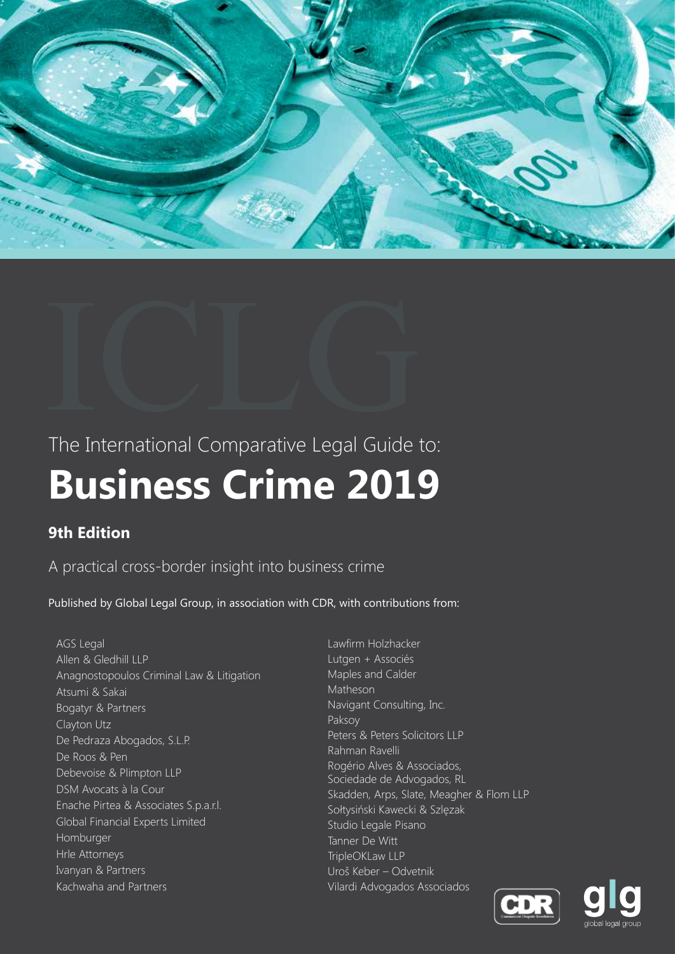

# The International Comparative Legal Guide to: **Business Crime 2019** The International Comparative Legal Guide

#### **9th Edition**

A practical cross-border insight into business crime

Published by Global Legal Group, in association with CDR, with contributions from:

AGS Legal Allen & Gledhill LLP Anagnostopoulos Criminal Law & Litigation Atsumi & Sakai Bogatyr & Partners Clayton Utz De Pedraza Abogados, S.L.P. De Roos & Pen Debevoise & Plimpton LLP DSM Avocats à la Cour Enache Pirtea & Associates S.p.a.r.l. Global Financial Experts Limited Homburger Hrle Attorneys Ivanyan & Partners Kachwaha and Partners

Lawfirm Holzhacker Lutgen + Associés Maples and Calder Matheson Navigant Consulting, Inc. Paksoy Peters & Peters Solicitors LLP Rahman Ravelli Rogério Alves & Associados, Sociedade de Advogados, RL Skadden, Arps, Slate, Meagher & Flom LLP Sołtysiński Kawecki & Szlęzak Studio Legale Pisano Tanner De Witt TripleOKLaw LLP Uroš Keber – Odvetnik Vilardi Advogados Associados



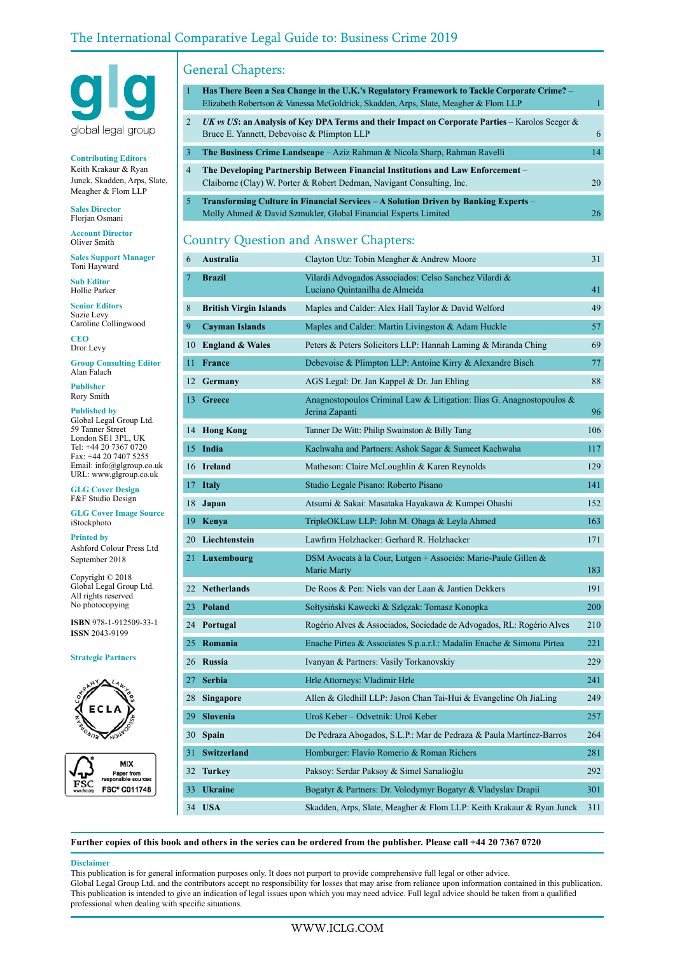#### The International Comparative Legal Guide to: Business Crime 2019



**Contributing Editors** Keith Krakaur & Ryan Junck, Skadden, Arps, Slate, Meagher & Flom LLP

**Sales Director** Florjan Osmani

**Account Director** Oliver Smith

**Sales Support Manager** Toni Hayward

**Sub Editor** Hollie Parker

**Senior Editors** Suzie Levy Caroline Collingwood

**CEO** Dror Levy

**Group Consulting Editor** Alan Falach

**Publisher** Rory Smith

**Published by**

Global Legal Group Ltd. 59 Tanner Street London SE1 3PL, UK Tel: +44 20 7367 0720 Fax: +44 20 7407 5255 Email: info@glgroup.co.uk URL: www.glgroup.co.uk

**GLG Cover Design** F&F Studio Design

**GLG Cover Image Source** iStockphoto

**Printed by**

Ashford Colour Press Ltd September 2018

Copyright © 2018 Global Legal Group Ltd. All rights reserved No photocopying

**ISBN** 978-1-912509-33-1 **ISSN** 2043-9199

#### **Strategic Partners**





#### General Chapters:

| -1             | Has There Been a Sea Change in the U.K.'s Regulatory Framework to Tackle Corporate Crime? -                                                              |    |
|----------------|----------------------------------------------------------------------------------------------------------------------------------------------------------|----|
|                | Elizabeth Robertson & Vanessa McGoldrick, Skadden, Arps, Slate, Meagher & Flom LLP                                                                       |    |
| 2              | UK vs US: an Analysis of Key DPA Terms and their Impact on Corporate Parties – Karolos Seeger $\&$<br>Bruce E. Yannett, Debevoise & Plimpton LLP         | 6  |
| 3              | <b>The Business Crime Landscape</b> – Aziz Rahman & Nicola Sharp, Rahman Ravelli                                                                         | 14 |
| $\overline{4}$ | The Developing Partnership Between Financial Institutions and Law Enforcement –<br>Claiborne (Clay) W. Porter & Robert Dedman, Navigant Consulting, Inc. | 20 |
| 5.             | Transforming Culture in Financial Services – A Solution Driven by Banking Experts –<br>Molly Ahmed & David Szmukler, Global Financial Experts Limited    | 26 |

#### Country Question and Answer Chapters:

| 6              | <b>Australia</b>              | Clayton Utz: Tobin Meagher & Andrew Moore                                                  | 31  |
|----------------|-------------------------------|--------------------------------------------------------------------------------------------|-----|
| $\overline{7}$ | <b>Brazil</b>                 | Vilardi Advogados Associados: Celso Sanchez Vilardi &<br>Luciano Quintanilha de Almeida    | 41  |
| 8              | <b>British Virgin Islands</b> | Maples and Calder: Alex Hall Taylor & David Welford                                        | 49  |
| 9              | <b>Cayman Islands</b>         | Maples and Calder: Martin Livingston & Adam Huckle                                         | 57  |
| 10             | <b>England &amp; Wales</b>    | Peters & Peters Solicitors LLP: Hannah Laming & Miranda Ching                              | 69  |
| 11             | <b>France</b>                 | Debevoise & Plimpton LLP: Antoine Kirry & Alexandre Bisch                                  | 77  |
| 12             | Germany                       | AGS Legal: Dr. Jan Kappel & Dr. Jan Ehling                                                 | 88  |
| 13             | <b>Greece</b>                 | Anagnostopoulos Criminal Law & Litigation: Ilias G. Anagnostopoulos $\&$<br>Jerina Zapanti | 96  |
|                | 14 Hong Kong                  | Tanner De Witt: Philip Swainston & Billy Tang                                              | 106 |
|                | 15 India                      | Kachwaha and Partners: Ashok Sagar & Sumeet Kachwaha                                       | 117 |
|                | 16 Ireland                    | Matheson: Claire McLoughlin & Karen Reynolds                                               | 129 |
| 17             | <b>Italy</b>                  | Studio Legale Pisano: Roberto Pisano                                                       | 141 |
| 18             | Japan                         | Atsumi & Sakai: Masataka Hayakawa & Kumpei Ohashi                                          | 152 |
| 19             | Kenya                         | TripleOKLaw LLP: John M. Ohaga & Leyla Ahmed                                               | 163 |
|                | 20 Liechtenstein              | Lawfirm Holzhacker: Gerhard R. Holzhacker                                                  | 171 |
|                | 21 Luxembourg                 | DSM Avocats à la Cour, Lutgen + Associés: Marie-Paule Gillen &<br>Marie Marty              | 183 |
|                | 22 Netherlands                | De Roos & Pen: Niels van der Laan & Jantien Dekkers                                        | 191 |
|                | 23 Poland                     | Sołtysiński Kawecki & Szlęzak: Tomasz Konopka                                              | 200 |
|                | 24 Portugal                   | Rogério Alves & Associados, Sociedade de Advogados, RL: Rogério Alves                      | 210 |
|                | 25 Romania                    | Enache Pirtea & Associates S.p.a.r.l.: Madalin Enache & Simona Pirtea                      | 221 |
|                | 26 Russia                     | Ivanyan & Partners: Vasily Torkanovskiy                                                    | 229 |
| 27             | <b>Serbia</b>                 | Hrle Attorneys: Vladimir Hrle                                                              | 241 |
|                | 28 Singapore                  | Allen & Gledhill LLP: Jason Chan Tai-Hui & Evangeline Oh JiaLing                           | 249 |
|                | 29 Slovenia                   | Uroš Keber – Odvetnik: Uroš Keber                                                          | 257 |
| 30             | <b>Spain</b>                  | De Pedraza Abogados, S.L.P.: Mar de Pedraza & Paula Martínez-Barros                        | 264 |
| 31             | <b>Switzerland</b>            | Homburger: Flavio Romerio & Roman Richers                                                  | 281 |
|                | 32 Turkey                     | Paksoy: Serdar Paksoy & Simel Sarıalioğlu                                                  | 292 |
| 33             | <b>Ukraine</b>                | Bogatyr & Partners: Dr. Volodymyr Bogatyr & Vladyslav Drapii                               | 301 |
|                | 34 USA                        | Skadden, Arps, Slate, Meagher & Flom LLP: Keith Krakaur & Ryan Junck                       | 311 |

**Further copies of this book and others in the series can be ordered from the publisher. Please call +44 20 7367 0720**

#### **Disclaimer**

This publication is for general information purposes only. It does not purport to provide comprehensive full legal or other advice. Global Legal Group Ltd. and the contributors accept no responsibility for losses that may arise from reliance upon information contained in this publication. This publication is intended to give an indication of legal issues upon which you may need advice. Full legal advice should be taken from a qualified professional when dealing with specific situations.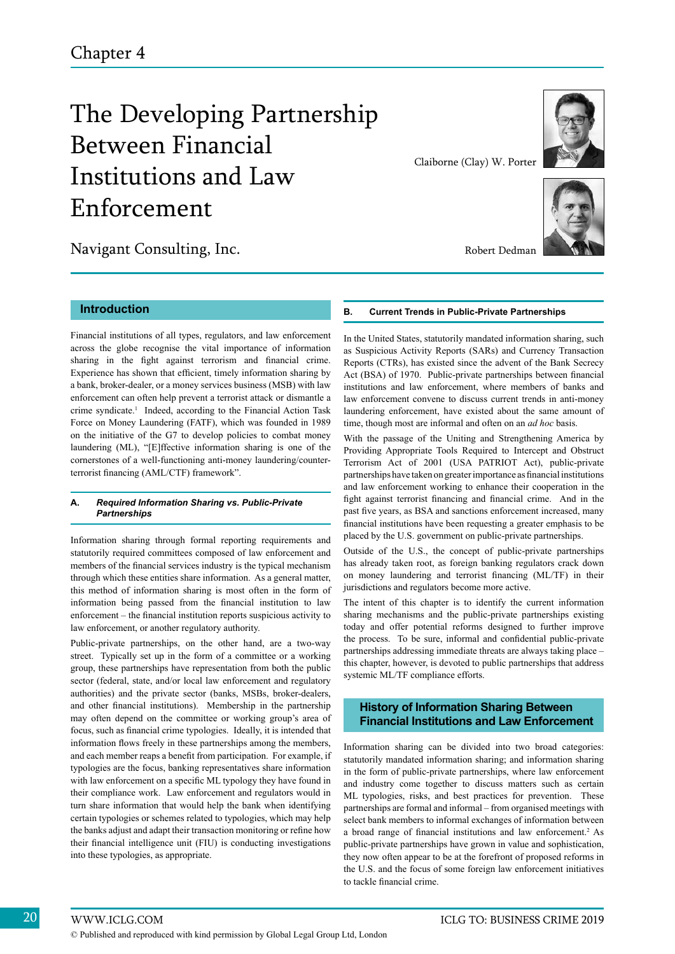### The Developing Partnership Between Financial Institutions and Law Enforcement

Navigant Consulting, Inc.



Claiborne (Clay) W. Porter



Robert Dedman

#### **Introduction**

Financial institutions of all types, regulators, and law enforcement across the globe recognise the vital importance of information sharing in the fight against terrorism and financial crime. Experience has shown that efficient, timely information sharing by a bank, broker-dealer, or a money services business (MSB) with law enforcement can often help prevent a terrorist attack or dismantle a crime syndicate.<sup>1</sup> Indeed, according to the Financial Action Task Force on Money Laundering (FATF), which was founded in 1989 on the initiative of the G7 to develop policies to combat money laundering (ML), "[E]ffective information sharing is one of the cornerstones of a well-functioning anti-money laundering/counterterrorist financing (AML/CTF) framework".

#### **A.** *Required Information Sharing vs. Public-Private Partnerships*

Information sharing through formal reporting requirements and statutorily required committees composed of law enforcement and members of the financial services industry is the typical mechanism through which these entities share information. As a general matter, this method of information sharing is most often in the form of information being passed from the financial institution to law enforcement – the financial institution reports suspicious activity to law enforcement, or another regulatory authority.

Public-private partnerships, on the other hand, are a two-way street. Typically set up in the form of a committee or a working group, these partnerships have representation from both the public sector (federal, state, and/or local law enforcement and regulatory authorities) and the private sector (banks, MSBs, broker-dealers, and other financial institutions). Membership in the partnership may often depend on the committee or working group's area of focus, such as financial crime typologies. Ideally, it is intended that information flows freely in these partnerships among the members, and each member reaps a benefit from participation. For example, if typologies are the focus, banking representatives share information with law enforcement on a specific ML typology they have found in their compliance work. Law enforcement and regulators would in turn share information that would help the bank when identifying certain typologies or schemes related to typologies, which may help the banks adjust and adapt their transaction monitoring or refine how their financial intelligence unit (FIU) is conducting investigations into these typologies, as appropriate.

#### **B. Current Trends in Public-Private Partnerships**

In the United States, statutorily mandated information sharing, such as Suspicious Activity Reports (SARs) and Currency Transaction Reports (CTRs), has existed since the advent of the Bank Secrecy Act (BSA) of 1970. Public-private partnerships between financial institutions and law enforcement, where members of banks and law enforcement convene to discuss current trends in anti-money laundering enforcement, have existed about the same amount of time, though most are informal and often on an *ad hoc* basis.

With the passage of the Uniting and Strengthening America by Providing Appropriate Tools Required to Intercept and Obstruct Terrorism Act of 2001 (USA PATRIOT Act), public-private partnerships have taken on greater importance as financial institutions and law enforcement working to enhance their cooperation in the fight against terrorist financing and financial crime. And in the past five years, as BSA and sanctions enforcement increased, many financial institutions have been requesting a greater emphasis to be placed by the U.S. government on public-private partnerships.

Outside of the U.S., the concept of public-private partnerships has already taken root, as foreign banking regulators crack down on money laundering and terrorist financing (ML/TF) in their jurisdictions and regulators become more active.

The intent of this chapter is to identify the current information sharing mechanisms and the public-private partnerships existing today and offer potential reforms designed to further improve the process. To be sure, informal and confidential public-private partnerships addressing immediate threats are always taking place – this chapter, however, is devoted to public partnerships that address systemic ML/TF compliance efforts.

#### **History of Information Sharing Between Financial Institutions and Law Enforcement**

Information sharing can be divided into two broad categories: statutorily mandated information sharing; and information sharing in the form of public-private partnerships, where law enforcement and industry come together to discuss matters such as certain ML typologies, risks, and best practices for prevention. These partnerships are formal and informal – from organised meetings with select bank members to informal exchanges of information between a broad range of financial institutions and law enforcement.<sup>2</sup> As public-private partnerships have grown in value and sophistication, they now often appear to be at the forefront of proposed reforms in the U.S. and the focus of some foreign law enforcement initiatives to tackle financial crime.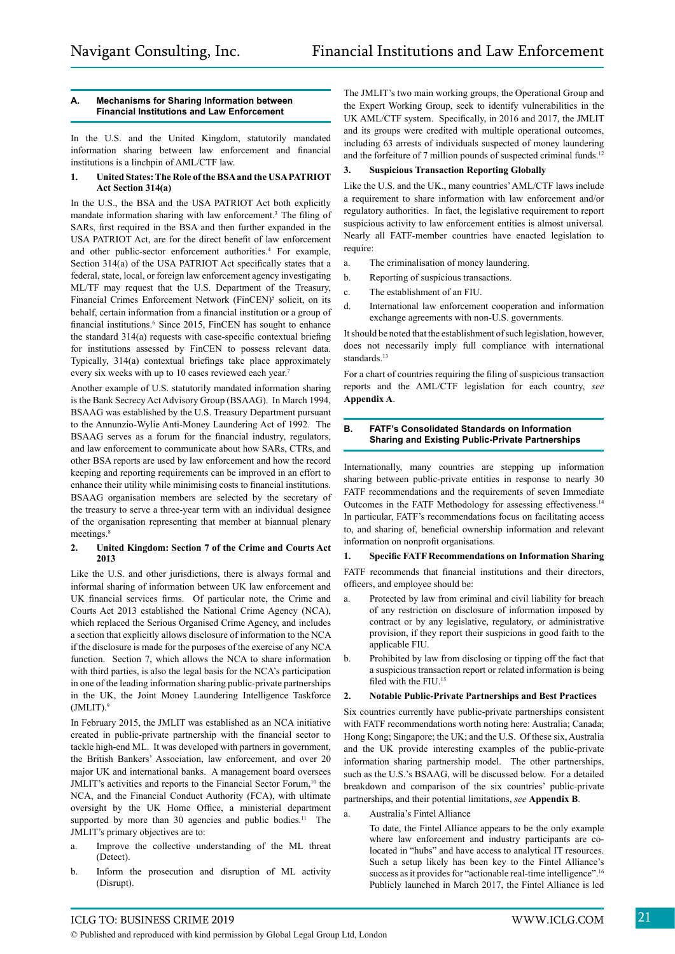#### **A. Mechanisms for Sharing Information between Financial Institutions and Law Enforcement**

In the U.S. and the United Kingdom, statutorily mandated information sharing between law enforcement and financial institutions is a linchpin of AML/CTF law.

#### **1. United States:The Role oftheBSAand the USAPATRIOT Act Section 314(a)**

In the U.S., the BSA and the USA PATRIOT Act both explicitly mandate information sharing with law enforcement.3 The filing of SARs, first required in the BSA and then further expanded in the USA PATRIOT Act, are for the direct benefit of law enforcement and other public-sector enforcement authorities.<sup>4</sup> For example, Section 314(a) of the USA PATRIOT Act specifically states that a federal, state, local, or foreign law enforcement agency investigating ML/TF may request that the U.S. Department of the Treasury, Financial Crimes Enforcement Network (FinCEN)<sup>5</sup> solicit, on its behalf, certain information from a financial institution or a group of financial institutions.<sup>6</sup> Since 2015, FinCEN has sought to enhance the standard 314(a) requests with case-specific contextual briefing for institutions assessed by FinCEN to possess relevant data. Typically, 314(a) contextual briefings take place approximately every six weeks with up to 10 cases reviewed each year.<sup>7</sup>

Another example of U.S. statutorily mandated information sharing is the Bank Secrecy Act Advisory Group (BSAAG). In March 1994, BSAAG was established by the U.S. Treasury Department pursuant to the Annunzio-Wylie Anti-Money Laundering Act of 1992. The BSAAG serves as a forum for the financial industry, regulators, and law enforcement to communicate about how SARs, CTRs, and other BSA reports are used by law enforcement and how the record keeping and reporting requirements can be improved in an effort to enhance their utility while minimising costs to financial institutions. BSAAG organisation members are selected by the secretary of the treasury to serve a three-year term with an individual designee of the organisation representing that member at biannual plenary meetings.<sup>8</sup>

#### **2. United Kingdom: Section 7 of the Crime and Courts Act 2013**

Like the U.S. and other jurisdictions, there is always formal and informal sharing of information between UK law enforcement and UK financial services firms. Of particular note, the Crime and Courts Act 2013 established the National Crime Agency (NCA), which replaced the Serious Organised Crime Agency, and includes a section that explicitly allows disclosure of information to the NCA if the disclosure is made for the purposes of the exercise of any NCA function. Section 7, which allows the NCA to share information with third parties, is also the legal basis for the NCA's participation in one of the leading information sharing public-private partnerships in the UK, the Joint Money Laundering Intelligence Taskforce  $(JMLIT).<sup>9</sup>$ 

In February 2015, the JMLIT was established as an NCA initiative created in public-private partnership with the financial sector to tackle high-end ML. It was developed with partners in government, the British Bankers' Association, law enforcement, and over 20 major UK and international banks. A management board oversees JMLIT's activities and reports to the Financial Sector Forum,<sup>10</sup> the NCA, and the Financial Conduct Authority (FCA), with ultimate oversight by the UK Home Office, a ministerial department supported by more than 30 agencies and public bodies.<sup>11</sup> The JMLIT's primary objectives are to:

- a. Improve the collective understanding of the ML threat (Detect).
- b. Inform the prosecution and disruption of ML activity (Disrupt).

The JMLIT's two main working groups, the Operational Group and the Expert Working Group, seek to identify vulnerabilities in the UK AML/CTF system. Specifically, in 2016 and 2017, the JMLIT and its groups were credited with multiple operational outcomes, including 63 arrests of individuals suspected of money laundering and the forfeiture of 7 million pounds of suspected criminal funds.<sup>12</sup>

#### **3. Suspicious Transaction Reporting Globally**

Like the U.S. and the UK., many countries' AML/CTF laws include a requirement to share information with law enforcement and/or regulatory authorities. In fact, the legislative requirement to report suspicious activity to law enforcement entities is almost universal. Nearly all FATF-member countries have enacted legislation to require:

- a. The criminalisation of money laundering.
- b. Reporting of suspicious transactions.
- c. The establishment of an FIU.
- d. International law enforcement cooperation and information exchange agreements with non-U.S. governments.

It should be noted that the establishment of such legislation, however, does not necessarily imply full compliance with international standards.<sup>13</sup>

For a chart of countries requiring the filing of suspicious transaction reports and the AML/CTF legislation for each country, *see*  **Appendix A**.

#### **B. FATF's Consolidated Standards on Information Sharing and Existing Public-Private Partnerships**

Internationally, many countries are stepping up information sharing between public-private entities in response to nearly 30 FATF recommendations and the requirements of seven Immediate Outcomes in the FATF Methodology for assessing effectiveness.14 In particular, FATF's recommendations focus on facilitating access to, and sharing of, beneficial ownership information and relevant information on nonprofit organisations.

#### **1. Specific FATF Recommendations on Information Sharing**

FATF recommends that financial institutions and their directors, officers, and employee should be:

- a. Protected by law from criminal and civil liability for breach of any restriction on disclosure of information imposed by contract or by any legislative, regulatory, or administrative provision, if they report their suspicions in good faith to the applicable FIU.
- b. Prohibited by law from disclosing or tipping off the fact that a suspicious transaction report or related information is being filed with the  $FHJ<sup>15</sup>$

#### **2. Notable Public-Private Partnerships and Best Practices**

Six countries currently have public-private partnerships consistent with FATF recommendations worth noting here: Australia; Canada; Hong Kong; Singapore; the UK; and the U.S. Of these six, Australia and the UK provide interesting examples of the public-private information sharing partnership model. The other partnerships, such as the U.S.'s BSAAG, will be discussed below. For a detailed breakdown and comparison of the six countries' public-private partnerships, and their potential limitations, *see* **Appendix B**.

a. Australia's Fintel Alliance

To date, the Fintel Alliance appears to be the only example where law enforcement and industry participants are colocated in "hubs" and have access to analytical IT resources. Such a setup likely has been key to the Fintel Alliance's success as it provides for "actionable real-time intelligence".<sup>16</sup> Publicly launched in March 2017, the Fintel Alliance is led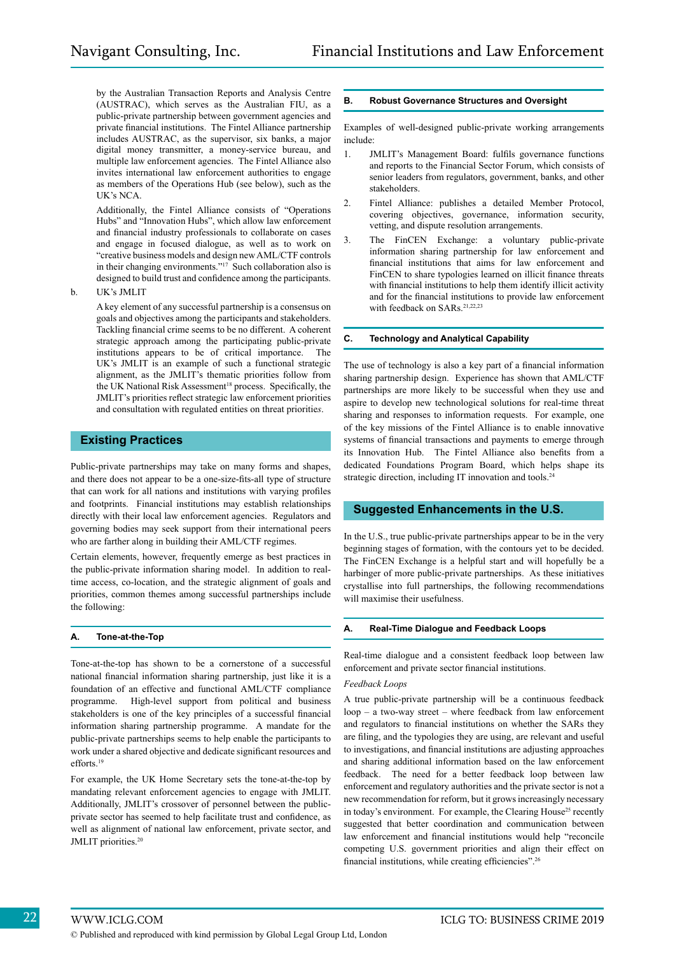by the Australian Transaction Reports and Analysis Centre (AUSTRAC), which serves as the Australian FIU, as a public-private partnership between government agencies and private financial institutions. The Fintel Alliance partnership includes AUSTRAC, as the supervisor, six banks, a major digital money transmitter, a money-service bureau, and multiple law enforcement agencies. The Fintel Alliance also invites international law enforcement authorities to engage as members of the Operations Hub (see below), such as the UK's NCA.

Additionally, the Fintel Alliance consists of "Operations Hubs" and "Innovation Hubs", which allow law enforcement and financial industry professionals to collaborate on cases and engage in focused dialogue, as well as to work on "creative business models and design new AML/CTF controls in their changing environments."17 Such collaboration also is designed to build trust and confidence among the participants.

b. UK's JMLIT

A key element of any successful partnership is a consensus on goals and objectives among the participants and stakeholders. Tackling financial crime seems to be no different. A coherent strategic approach among the participating public-private institutions appears to be of critical importance. The UK's JMLIT is an example of such a functional strategic alignment, as the JMLIT's thematic priorities follow from the UK National Risk Assessment<sup>18</sup> process. Specifically, the JMLIT's priorities reflect strategic law enforcement priorities and consultation with regulated entities on threat prioritie*s*.

#### **Existing Practices**

Public-private partnerships may take on many forms and shapes, and there does not appear to be a one-size-fits-all type of structure that can work for all nations and institutions with varying profiles and footprints. Financial institutions may establish relationships directly with their local law enforcement agencies. Regulators and governing bodies may seek support from their international peers who are farther along in building their AML/CTF regimes.

Certain elements, however, frequently emerge as best practices in the public-private information sharing model. In addition to realtime access, co-location, and the strategic alignment of goals and priorities, common themes among successful partnerships include the following:

#### **A. Tone-at-the-Top**

Tone-at-the-top has shown to be a cornerstone of a successful national financial information sharing partnership, just like it is a foundation of an effective and functional AML/CTF compliance programme. High-level support from political and business stakeholders is one of the key principles of a successful financial information sharing partnership programme. A mandate for the public-private partnerships seems to help enable the participants to work under a shared objective and dedicate significant resources and efforts.<sup>19</sup>

For example, the UK Home Secretary sets the tone-at-the-top by mandating relevant enforcement agencies to engage with JMLIT. Additionally, JMLIT's crossover of personnel between the publicprivate sector has seemed to help facilitate trust and confidence, as well as alignment of national law enforcement, private sector, and JMLIT priorities.<sup>20</sup>

#### **B. Robust Governance Structures and Oversight**

Examples of well-designed public-private working arrangements include:

- 1. JMLIT's Management Board: fulfils governance functions and reports to the Financial Sector Forum, which consists of senior leaders from regulators, government, banks, and other stakeholders.
- 2. Fintel Alliance: publishes a detailed Member Protocol, covering objectives, governance, information security, vetting, and dispute resolution arrangements.
- 3. The FinCEN Exchange: a voluntary public-private information sharing partnership for law enforcement and financial institutions that aims for law enforcement and FinCEN to share typologies learned on illicit finance threats with financial institutions to help them identify illicit activity and for the financial institutions to provide law enforcement with feedback on SARs.<sup>21,22,23</sup>

#### **C. Technology and Analytical Capability**

The use of technology is also a key part of a financial information sharing partnership design. Experience has shown that AML/CTF partnerships are more likely to be successful when they use and aspire to develop new technological solutions for real-time threat sharing and responses to information requests. For example, one of the key missions of the Fintel Alliance is to enable innovative systems of financial transactions and payments to emerge through its Innovation Hub. The Fintel Alliance also benefits from a dedicated Foundations Program Board, which helps shape its strategic direction, including IT innovation and tools.<sup>24</sup>

#### **Suggested Enhancements in the U.S.**

In the U.S., true public-private partnerships appear to be in the very beginning stages of formation, with the contours yet to be decided. The FinCEN Exchange is a helpful start and will hopefully be a harbinger of more public-private partnerships. As these initiatives crystallise into full partnerships, the following recommendations will maximise their usefulness.

#### **A. Real-Time Dialogue and Feedback Loops**

Real-time dialogue and a consistent feedback loop between law enforcement and private sector financial institutions.

#### *Feedback Loops*

A true public-private partnership will be a continuous feedback loop – a two-way street – where feedback from law enforcement and regulators to financial institutions on whether the SARs they are filing, and the typologies they are using, are relevant and useful to investigations, and financial institutions are adjusting approaches and sharing additional information based on the law enforcement feedback. The need for a better feedback loop between law enforcement and regulatory authorities and the private sector is not a new recommendation for reform, but it grows increasingly necessary in today's environment. For example, the Clearing House<sup>25</sup> recently suggested that better coordination and communication between law enforcement and financial institutions would help "reconcile competing U.S. government priorities and align their effect on financial institutions, while creating efficiencies".<sup>26</sup>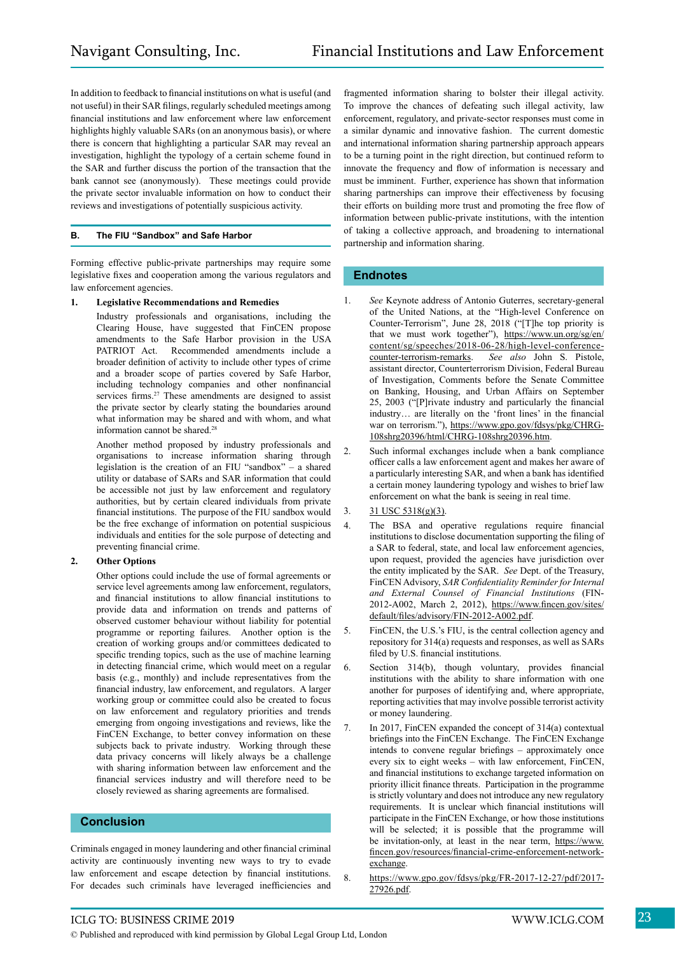In addition to feedback to financial institutions on what is useful (and not useful) in their SAR filings, regularly scheduled meetings among financial institutions and law enforcement where law enforcement highlights highly valuable SARs (on an anonymous basis), or where there is concern that highlighting a particular SAR may reveal an investigation, highlight the typology of a certain scheme found in the SAR and further discuss the portion of the transaction that the bank cannot see (anonymously). These meetings could provide the private sector invaluable information on how to conduct their reviews and investigations of potentially suspicious activity.

#### **B. The FIU "Sandbox" and Safe Harbor**

Forming effective public-private partnerships may require some legislative fixes and cooperation among the various regulators and law enforcement agencies.

#### **1. Legislative Recommendations and Remedies**

Industry professionals and organisations, including the Clearing House, have suggested that FinCEN propose amendments to the Safe Harbor provision in the USA PATRIOT Act. Recommended amendments include a broader definition of activity to include other types of crime and a broader scope of parties covered by Safe Harbor, including technology companies and other nonfinancial services firms.<sup>27</sup> These amendments are designed to assist the private sector by clearly stating the boundaries around what information may be shared and with whom, and what information cannot be shared.<sup>28</sup>

Another method proposed by industry professionals and organisations to increase information sharing through legislation is the creation of an FIU "sandbox" – a shared utility or database of SARs and SAR information that could be accessible not just by law enforcement and regulatory authorities, but by certain cleared individuals from private financial institutions. The purpose of the FIU sandbox would be the free exchange of information on potential suspicious individuals and entities for the sole purpose of detecting and preventing financial crime.

#### **2. Other Options**

Other options could include the use of formal agreements or service level agreements among law enforcement, regulators, and financial institutions to allow financial institutions to provide data and information on trends and patterns of observed customer behaviour without liability for potential programme or reporting failures. Another option is the creation of working groups and/or committees dedicated to specific trending topics, such as the use of machine learning in detecting financial crime, which would meet on a regular basis (e.g., monthly) and include representatives from the financial industry, law enforcement, and regulators. A larger working group or committee could also be created to focus on law enforcement and regulatory priorities and trends emerging from ongoing investigations and reviews, like the FinCEN Exchange, to better convey information on these subjects back to private industry. Working through these data privacy concerns will likely always be a challenge with sharing information between law enforcement and the financial services industry and will therefore need to be closely reviewed as sharing agreements are formalised.

#### **Conclusion**

Criminals engaged in money laundering and other financial criminal activity are continuously inventing new ways to try to evade law enforcement and escape detection by financial institutions. For decades such criminals have leveraged inefficiencies and

fragmented information sharing to bolster their illegal activity. To improve the chances of defeating such illegal activity, law enforcement, regulatory, and private-sector responses must come in a similar dynamic and innovative fashion. The current domestic and international information sharing partnership approach appears to be a turning point in the right direction, but continued reform to innovate the frequency and flow of information is necessary and must be imminent. Further, experience has shown that information sharing partnerships can improve their effectiveness by focusing their efforts on building more trust and promoting the free flow of information between public-private institutions, with the intention of taking a collective approach, and broadening to international partnership and information sharing.

#### **Endnotes**

- 1. *See* Keynote address of Antonio Guterres, secretary-general of the United Nations, at the "High-level Conference on Counter-Terrorism", June 28, 2018 ("[T]he top priority is that we must work together"), https://www.un.org/sg/en/ content/sg/speeches/2018-06-28/high-level-conferencecounter-terrorism-remarks. *See also* John S. Pistole, assistant director, Counterterrorism Division, Federal Bureau of Investigation, Comments before the Senate Committee on Banking, Housing, and Urban Affairs on September 25, 2003 ("[P]rivate industry and particularly the financial industry… are literally on the 'front lines' in the financial war on terrorism."), https://www.gpo.gov/fdsys/pkg/CHRG-108shrg20396/html/CHRG-108shrg20396.htm.
- 2. Such informal exchanges include when a bank compliance officer calls a law enforcement agent and makes her aware of a particularly interesting SAR, and when a bank has identified a certain money laundering typology and wishes to brief law enforcement on what the bank is seeing in real time.
- 3. 31 USC 5318(g)(3).
- 4. The BSA and operative regulations require financial institutions to disclose documentation supporting the filing of a SAR to federal, state, and local law enforcement agencies, upon request, provided the agencies have jurisdiction over the entity implicated by the SAR. *See* Dept. of the Treasury, FinCEN Advisory, *SAR Confidentiality Reminder for Internal and External Counsel of Financial Institutions* (FIN-2012-A002, March 2, 2012), https://www.fincen.gov/sites/ default/files/advisory/FIN-2012-A002.pdf.
- 5. FinCEN, the U.S.'s FIU, is the central collection agency and repository for 314(a) requests and responses, as well as SARs filed by U.S. financial institutions.
- 6. Section 314(b), though voluntary, provides financial institutions with the ability to share information with one another for purposes of identifying and, where appropriate, reporting activities that may involve possible terrorist activity or money laundering.
- 7. In 2017, FinCEN expanded the concept of 314(a) contextual briefings into the FinCEN Exchange. The FinCEN Exchange intends to convene regular briefings – approximately once every six to eight weeks – with law enforcement, FinCEN, and financial institutions to exchange targeted information on priority illicit finance threats. Participation in the programme is strictly voluntary and does not introduce any new regulatory requirements. It is unclear which financial institutions will participate in the FinCEN Exchange, or how those institutions will be selected; it is possible that the programme will be invitation-only, at least in the near term, https://www. fincen.gov/resources/financial-crime-enforcement-networkexchange.
- 8. https://www.gpo.gov/fdsys/pkg/FR-2017-12-27/pdf/2017- 27926.pdf.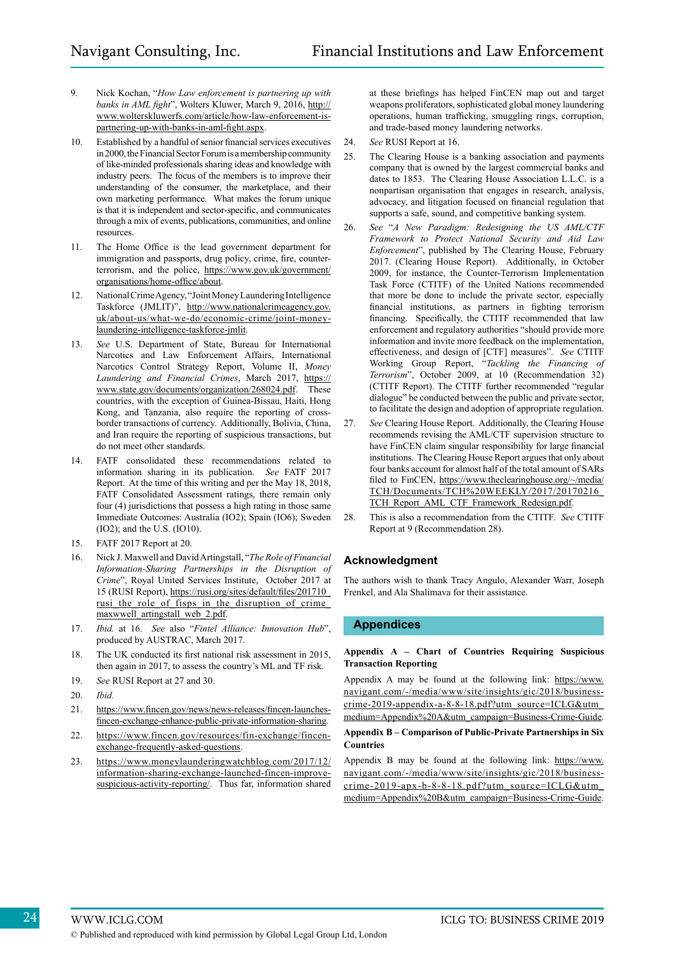- 9. Nick Kochan, "*How Law enforcement is partnering up with banks in AML fight*", Wolters Kluwer, March 9, 2016, http:// www.wolterskluwerfs.com/article/how-law-enforcement-ispartnering-up-with-banks-in-aml-fight.aspx.
- 10. Established by a handful of senior financial services executives in 2000, the Financial Sector Forum is a membership community of like-minded professionals sharing ideas and knowledge with industry peers. The focus of the members is to improve their understanding of the consumer, the marketplace, and their own marketing performance. What makes the forum unique is that it is independent and sector-specific, and communicates through a mix of events, publications, communities, and online resources.
- 11. The Home Office is the lead government department for immigration and passports, drug policy, crime, fire, counterterrorism, and the police, https://www.gov.uk/government/ organisations/home-office/about.
- 12. National Crime Agency, "Joint Money Laundering Intelligence Taskforce (JMLIT)", http://www.nationalcrimeagency.gov. uk/about-us/what-we-do/economic-crime/joint-moneylaundering-intelligence-taskforce-jmlit.
- 13. *See* U.S. Department of State, Bureau for International Narcotics and Law Enforcement Affairs, International Narcotics Control Strategy Report, Volume II, *Money Laundering and Financial Crimes*, March 2017, https:// www.state.gov/documents/organization/268024.pdf. These countries, with the exception of Guinea-Bissau, Haiti, Hong Kong, and Tanzania, also require the reporting of crossborder transactions of currency. Additionally, Bolivia, China, and Iran require the reporting of suspicious transactions, but do not meet other standards.
- 14. FATF consolidated these recommendations related to information sharing in its publication. *See* FATF 2017 Report. At the time of this writing and per the May 18, 2018, FATF Consolidated Assessment ratings, there remain only four (4) jurisdictions that possess a high rating in those same Immediate Outcomes: Australia (IO2); Spain (IO6); Sweden (IO2); and the U.S. (IO10).
- 15. FATF 2017 Report at 20.
- 16. Nick J. Maxwell and David Artingstall, "*The Role of Financial Information-Sharing Partnerships in the Disruption of Crime*", Royal United Services Institute, October 2017 at 15 (RUSI Report), https://rusi.org/sites/default/files/201710\_ rusi the role of fisps in the disruption of crime maxwwell artingstall web 2.pdf.
- 17. *Ibid.* at 16. *See* also "*Fintel Alliance: Innovation Hub*", produced by AUSTRAC, March 2017.
- 18. The UK conducted its first national risk assessment in 2015, then again in 2017, to assess the country's ML and TF risk.
- 19. *See* RUSI Report at 27 and 30.
- 20. *Ibid.*
- 21. https://www.fincen.gov/news/news-releases/fincen-launchesfincen-exchange-enhance-public-private-information-sharing.
- 22. https://www.fincen.gov/resources/fin-exchange/fincenexchange-frequently-asked-questions.
- 23. https://www.moneylaunderingwatchblog.com/2017/12/ information-sharing-exchange-launched-fincen-improvesuspicious-activity-reporting/. Thus far, information shared

at these briefings has helped FinCEN map out and target weapons proliferators, sophisticated global money laundering operations, human trafficking, smuggling rings, corruption, and trade-based money laundering networks.

- 24. *See* RUSI Report at 16.
- 25. The Clearing House is a banking association and payments company that is owned by the largest commercial banks and dates to 1853. The Clearing House Association L.L.C. is a nonpartisan organisation that engages in research, analysis, advocacy, and litigation focused on financial regulation that supports a safe, sound, and competitive banking system.
- 26. *See* "*A New Paradigm: Redesigning the US AML/CTF Framework to Protect National Security and Aid Law Enforcement*", published by The Clearing House, February 2017. (Clearing House Report). Additionally, in October 2009, for instance, the Counter-Terrorism Implementation Task Force (CTITF) of the United Nations recommended that more be done to include the private sector, especially financial institutions, as partners in fighting terrorism financing. Specifically, the CTITF recommended that law enforcement and regulatory authorities "should provide more information and invite more feedback on the implementation, effectiveness, and design of [CTF] measures". *See* CTITF Working Group Report, "*Tackling the Financing of Terrorism*", October 2009, at 10 (Recommendation 32) (CTITF Report). The CTITF further recommended "regular dialogue" be conducted between the public and private sector, to facilitate the design and adoption of appropriate regulation.
- 27. *See* Clearing House Report. Additionally, the Clearing House recommends revising the AML/CTF supervision structure to have FinCEN claim singular responsibility for large financial institutions. The Clearing House Report argues that only about four banks account for almost half of the total amount of SARs filed to FinCEN, https://www.theclearinghouse.org/~/media/ TCH/Documents/TCH%20WEEKLY/2017/20170216\_ TCH\_Report\_AML\_CTF\_Framework\_Redesign.pdf.
- 28. This is also a recommendation from the CTITF. *See* CTITF Report at 9 (Recommendation 28).

#### **Acknowledgment**

The authors wish to thank Tracy Angulo, Alexander Warr, Joseph Frenkel, and Ala Shalimava for their assistance.

#### **Appendices**

#### **Appendix A – Chart of Countries Requiring Suspicious Transaction Reporting**

Appendix A may be found at the following link: https://www. navigant.com/-/media/www/site/insights/gic/2018/businesscrime-2019-appendix-a-8-8-18.pdf?utm\_source=ICLG&utm\_ medium=Appendix%20A&utm\_campaign=Business-Crime-Guide.

#### **Appendix B – Comparison of Public-Private Partnerships in Six Countries**

Appendix B may be found at the following link: https://www. navigant.com/-/media/www/site/insights/gic/2018/businesscrime-2019-apx-b-8-8-18.pdf?utm\_source=ICLG&utm\_ medium=Appendix%20B&utm\_campaign=Business-Crime-Guide.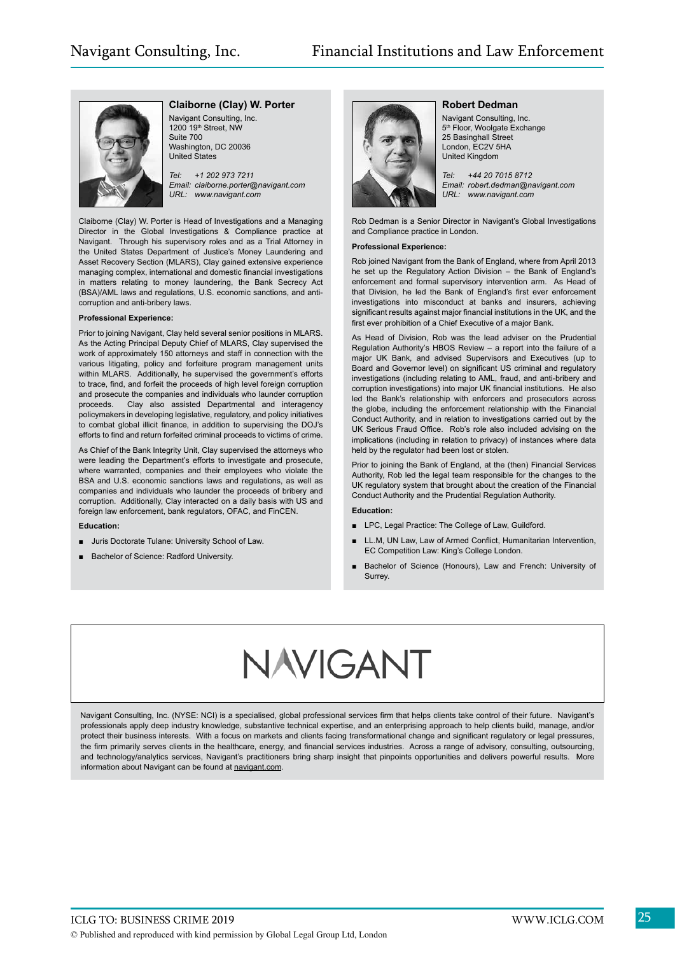

#### **Claiborne (Clay) W. Porter**

Navigant Consulting, Inc. 1200 19th Street, NW Suite 700 Washington, DC 20036 United States

*Tel: +1 202 973 7211 Email: claiborne.porter@navigant.com URL: www.navigant.com*

Claiborne (Clay) W. Porter is Head of Investigations and a Managing Director in the Global Investigations & Compliance practice at Navigant. Through his supervisory roles and as a Trial Attorney in the United States Department of Justice's Money Laundering and Asset Recovery Section (MLARS), Clay gained extensive experience managing complex, international and domestic financial investigations in matters relating to money laundering, the Bank Secrecy Act (BSA)/AML laws and regulations, U.S. economic sanctions, and anticorruption and anti-bribery laws.

#### **Professional Experience:**

Prior to joining Navigant, Clay held several senior positions in MLARS. As the Acting Principal Deputy Chief of MLARS, Clay supervised the work of approximately 150 attorneys and staff in connection with the various litigating, policy and forfeiture program management units within MLARS. Additionally, he supervised the government's efforts to trace, find, and forfeit the proceeds of high level foreign corruption and prosecute the companies and individuals who launder corruption proceeds. Clay also assisted Departmental and interagency policymakers in developing legislative, regulatory, and policy initiatives to combat global illicit finance, in addition to supervising the DOJ's efforts to find and return forfeited criminal proceeds to victims of crime.

As Chief of the Bank Integrity Unit, Clay supervised the attorneys who were leading the Department's efforts to investigate and prosecute, where warranted, companies and their employees who violate the BSA and U.S. economic sanctions laws and regulations, as well as companies and individuals who launder the proceeds of bribery and corruption. Additionally, Clay interacted on a daily basis with US and foreign law enforcement, bank regulators, OFAC, and FinCEN.

#### **Education:**

- Juris Doctorate Tulane: University School of Law.
- Bachelor of Science: Radford University.



#### **Robert Dedman**

Navigant Consulting, Inc. 5<sup>th</sup> Floor, Woolgate Exchange 25 Basinghall Street London, EC2V 5HA United Kingdom

*Tel: +44 20 7015 8712 Email: robert.dedman@navigant.com URL: www.navigant.com*

Rob Dedman is a Senior Director in Navigant's Global Investigations and Compliance practice in London.

#### **Professional Experience:**

Rob joined Navigant from the Bank of England, where from April 2013 he set up the Regulatory Action Division – the Bank of England's enforcement and formal supervisory intervention arm. As Head of that Division, he led the Bank of England's first ever enforcement investigations into misconduct at banks and insurers, achieving significant results against major financial institutions in the UK, and the first ever prohibition of a Chief Executive of a major Bank.

As Head of Division, Rob was the lead adviser on the Prudential Regulation Authority's HBOS Review – a report into the failure of a major UK Bank, and advised Supervisors and Executives (up to Board and Governor level) on significant US criminal and regulatory investigations (including relating to AML, fraud, and anti-bribery and corruption investigations) into major UK financial institutions. He also led the Bank's relationship with enforcers and prosecutors across the globe, including the enforcement relationship with the Financial Conduct Authority, and in relation to investigations carried out by the UK Serious Fraud Office. Rob's role also included advising on the implications (including in relation to privacy) of instances where data held by the regulator had been lost or stolen.

Prior to joining the Bank of England, at the (then) Financial Services Authority, Rob led the legal team responsible for the changes to the UK regulatory system that brought about the creation of the Financial Conduct Authority and the Prudential Regulation Authority.

#### **Education:**

- LPC, Legal Practice: The College of Law, Guildford.
- LL.M, UN Law, Law of Armed Conflict, Humanitarian Intervention, EC Competition Law: King's College London.
- Bachelor of Science (Honours), Law and French: University of Surrey.

## NAVIGANT

Navigant Consulting, Inc. (NYSE: NCI) is a specialised, global professional services firm that helps clients take control of their future. Navigant's professionals apply deep industry knowledge, substantive technical expertise, and an enterprising approach to help clients build, manage, and/or protect their business interests. With a focus on markets and clients facing transformational change and significant regulatory or legal pressures, the firm primarily serves clients in the healthcare, energy, and financial services industries. Across a range of advisory, consulting, outsourcing, and technology/analytics services, Navigant's practitioners bring sharp insight that pinpoints opportunities and delivers powerful results. More information about Navigant can be found at navigant.com.